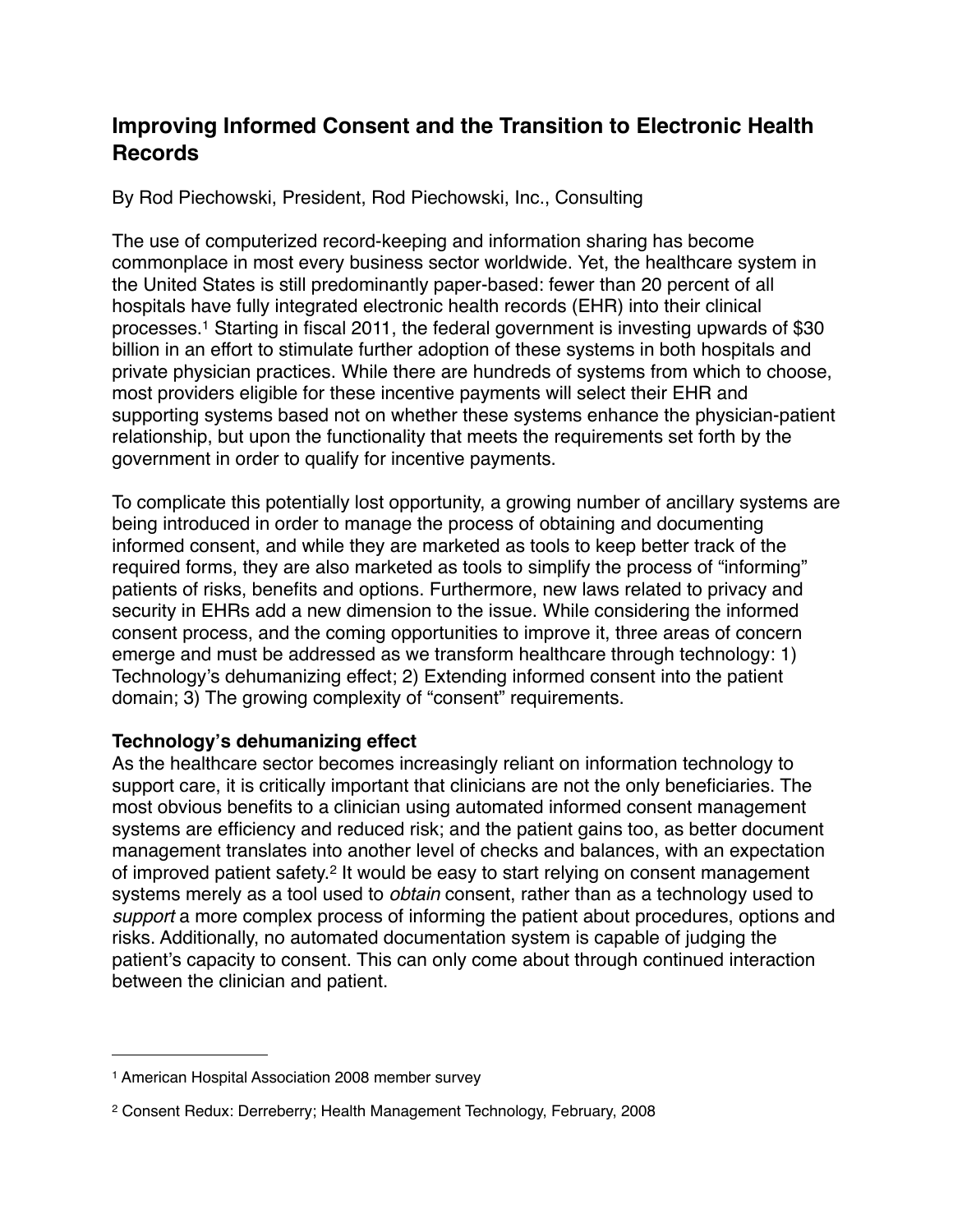# **Improving Informed Consent and the Transition to Electronic Health Records**

By Rod Piechowski, President, Rod Piechowski, Inc., Consulting

The use of computerized record-keeping and information sharing has become commonplace in most every business sector worldwide. Yet, the healthcare system in the United States is still predominantly paper-based: fewer than 20 percent of all hospitals have fully integrated electronic health records (EHR) into their clinical processes[.1](#page-0-0) Starting in fiscal 2011, the federal government is investing upwards of \$30 billion in an effort to stimulate further adoption of these systems in both hospitals and private physician practices. While there are hundreds of systems from which to choose, most providers eligible for these incentive payments will select their EHR and supporting systems based not on whether these systems enhance the physician-patient relationship, but upon the functionality that meets the requirements set forth by the government in order to qualify for incentive payments.

To complicate this potentially lost opportunity, a growing number of ancillary systems are being introduced in order to manage the process of obtaining and documenting informed consent, and while they are marketed as tools to keep better track of the required forms, they are also marketed as tools to simplify the process of "informing" patients of risks, benefits and options. Furthermore, new laws related to privacy and security in EHRs add a new dimension to the issue. While considering the informed consent process, and the coming opportunities to improve it, three areas of concern emerge and must be addressed as we transform healthcare through technology: 1) Technology's dehumanizing effect; 2) Extending informed consent into the patient domain; 3) The growing complexity of "consent" requirements.

### **Technology's dehumanizing effect**

As the healthcare sector becomes increasingly reliant on information technology to support care, it is critically important that clinicians are not the only beneficiaries. The most obvious benefits to a clinician using automated informed consent management systems are efficiency and reduced risk; and the patient gains too, as better document management translates into another level of checks and balances, with an expectation of improved patient safety.[2](#page-0-1) It would be easy to start relying on consent management systems merely as a tool used to *obtain* consent, rather than as a technology used to *support* a more complex process of informing the patient about procedures, options and risks. Additionally, no automated documentation system is capable of judging the patient's capacity to consent. This can only come about through continued interaction between the clinician and patient.

<span id="page-0-0"></span><sup>1</sup> American Hospital Association 2008 member survey

<span id="page-0-1"></span><sup>2</sup> Consent Redux: Derreberry; Health Management Technology, February, 2008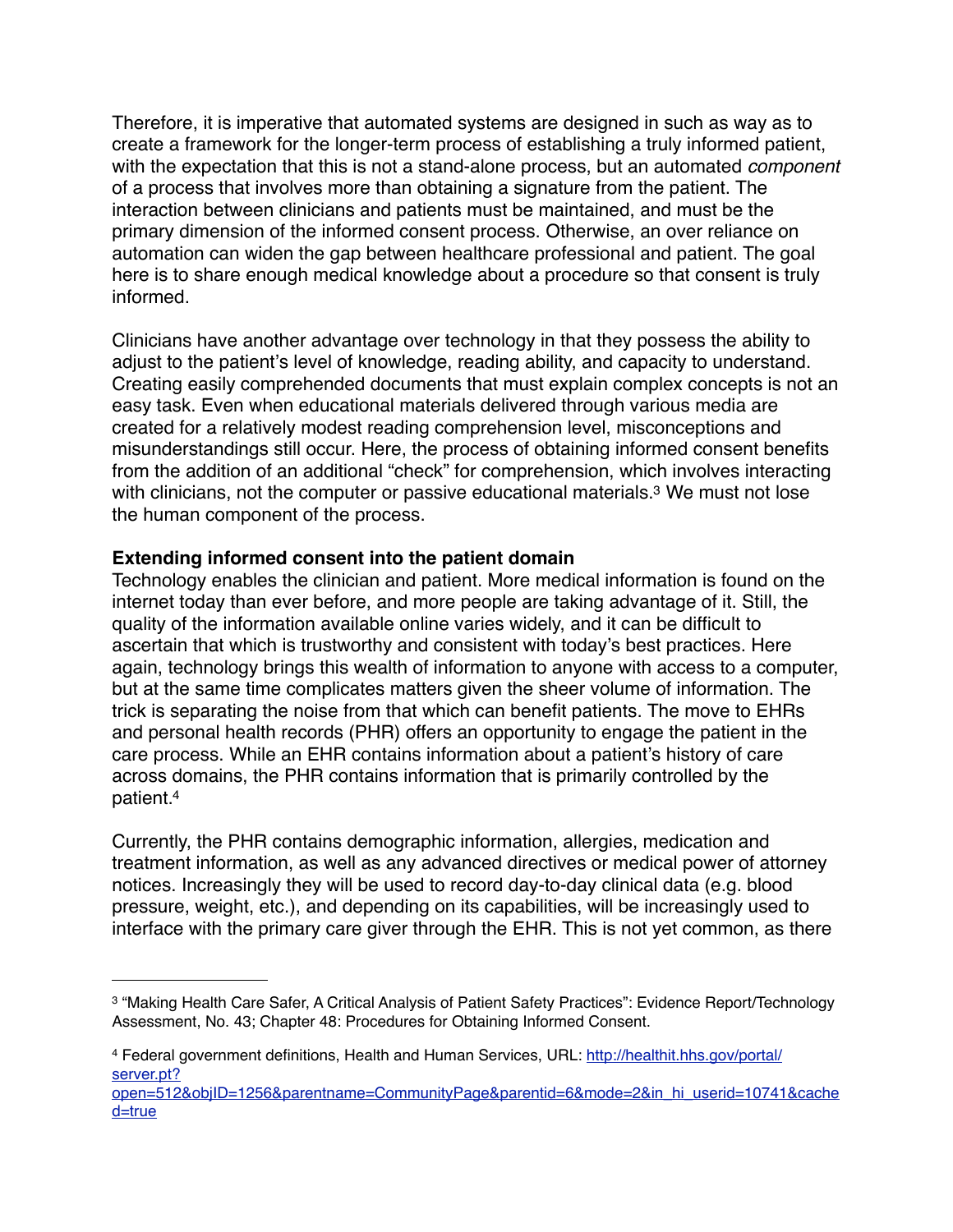Therefore, it is imperative that automated systems are designed in such as way as to create a framework for the longer-term process of establishing a truly informed patient, with the expectation that this is not a stand-alone process, but an automated *component*  of a process that involves more than obtaining a signature from the patient. The interaction between clinicians and patients must be maintained, and must be the primary dimension of the informed consent process. Otherwise, an over reliance on automation can widen the gap between healthcare professional and patient. The goal here is to share enough medical knowledge about a procedure so that consent is truly informed.

Clinicians have another advantage over technology in that they possess the ability to adjust to the patient's level of knowledge, reading ability, and capacity to understand. Creating easily comprehended documents that must explain complex concepts is not an easy task. Even when educational materials delivered through various media are created for a relatively modest reading comprehension level, misconceptions and misunderstandings still occur. Here, the process of obtaining informed consent benefits from the addition of an additional "check" for comprehension, which involves interacting with clinicians, not the computer or passive educational materials.<sup>3</sup> We must not lose the human component of the process.

## **Extending informed consent into the patient domain**

Technology enables the clinician and patient. More medical information is found on the internet today than ever before, and more people are taking advantage of it. Still, the quality of the information available online varies widely, and it can be difficult to ascertain that which is trustworthy and consistent with today's best practices. Here again, technology brings this wealth of information to anyone with access to a computer, but at the same time complicates matters given the sheer volume of information. The trick is separating the noise from that which can benefit patients. The move to EHRs and personal health records (PHR) offers an opportunity to engage the patient in the care process. While an EHR contains information about a patient's history of care across domains, the PHR contains information that is primarily controlled by the patient[.4](#page-1-1)

Currently, the PHR contains demographic information, allergies, medication and treatment information, as well as any advanced directives or medical power of attorney notices. Increasingly they will be used to record day-to-day clinical data (e.g. blood pressure, weight, etc.), and depending on its capabilities, will be increasingly used to interface with the primary care giver through the EHR. This is not yet common, as there

<span id="page-1-0"></span><sup>3 &</sup>quot;Making Health Care Safer, A Critical Analysis of Patient Safety Practices": Evidence Report/Technology Assessment, No. 43; Chapter 48: Procedures for Obtaining Informed Consent.

<span id="page-1-1"></span><sup>4</sup> Federal government definitions, Health and Human Services, URL: [http://healthit.hhs.gov/portal/](http://healthit.hhs.gov/portal/server.pt?open=512&objID=1256&parentname=CommunityPage&parentid=6&mode=2&in_hi_userid=10741&cached=true) [server.pt?](http://healthit.hhs.gov/portal/server.pt?open=512&objID=1256&parentname=CommunityPage&parentid=6&mode=2&in_hi_userid=10741&cached=true)

[open=512&objID=1256&parentname=CommunityPage&parentid=6&mode=2&in\\_hi\\_userid=10741&cache](http://healthit.hhs.gov/portal/server.pt?open=512&objID=1256&parentname=CommunityPage&parentid=6&mode=2&in_hi_userid=10741&cached=true) [d=true](http://healthit.hhs.gov/portal/server.pt?open=512&objID=1256&parentname=CommunityPage&parentid=6&mode=2&in_hi_userid=10741&cached=true)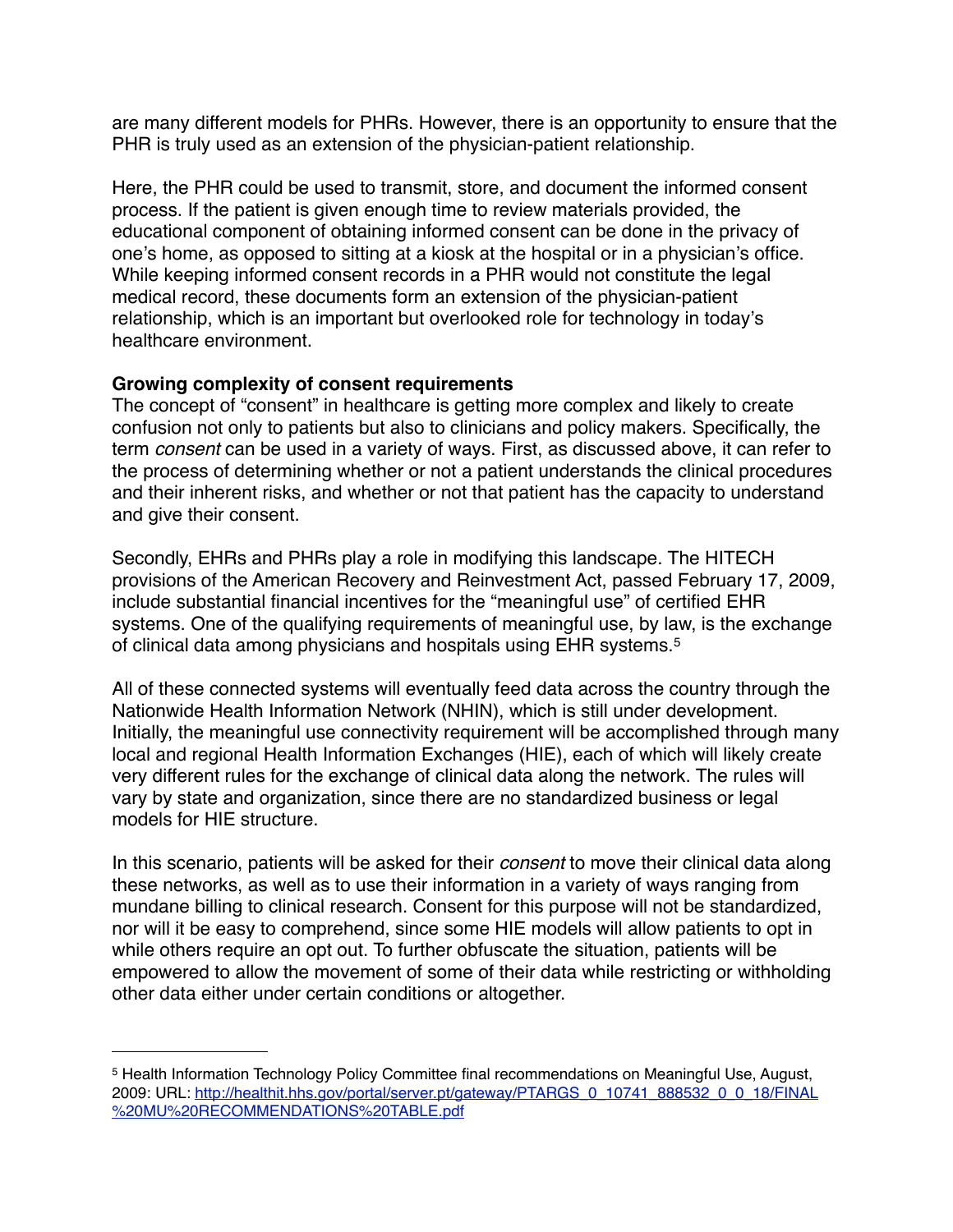are many different models for PHRs. However, there is an opportunity to ensure that the PHR is truly used as an extension of the physician-patient relationship.

Here, the PHR could be used to transmit, store, and document the informed consent process. If the patient is given enough time to review materials provided, the educational component of obtaining informed consent can be done in the privacy of one's home, as opposed to sitting at a kiosk at the hospital or in a physician's office. While keeping informed consent records in a PHR would not constitute the legal medical record, these documents form an extension of the physician-patient relationship, which is an important but overlooked role for technology in today's healthcare environment.

### **Growing complexity of consent requirements**

The concept of "consent" in healthcare is getting more complex and likely to create confusion not only to patients but also to clinicians and policy makers. Specifically, the term *consent* can be used in a variety of ways. First, as discussed above, it can refer to the process of determining whether or not a patient understands the clinical procedures and their inherent risks, and whether or not that patient has the capacity to understand and give their consent.

Secondly, EHRs and PHRs play a role in modifying this landscape. The HITECH provisions of the American Recovery and Reinvestment Act, passed February 17, 2009, include substantial financial incentives for the "meaningful use" of certified EHR systems. One of the qualifying requirements of meaningful use, by law, is the exchange of clinical data among physicians and hospitals using EHR systems.[5](#page-2-0)

All of these connected systems will eventually feed data across the country through the Nationwide Health Information Network (NHIN), which is still under development. Initially, the meaningful use connectivity requirement will be accomplished through many local and regional Health Information Exchanges (HIE), each of which will likely create very different rules for the exchange of clinical data along the network. The rules will vary by state and organization, since there are no standardized business or legal models for HIE structure.

In this scenario, patients will be asked for their *consent* to move their clinical data along these networks, as well as to use their information in a variety of ways ranging from mundane billing to clinical research. Consent for this purpose will not be standardized, nor will it be easy to comprehend, since some HIE models will allow patients to opt in while others require an opt out. To further obfuscate the situation, patients will be empowered to allow the movement of some of their data while restricting or withholding other data either under certain conditions or altogether.

<span id="page-2-0"></span><sup>5</sup> Health Information Technology Policy Committee final recommendations on Meaningful Use, August, 2009: URL: [http://healthit.hhs.gov/portal/server.pt/gateway/PTARGS\\_0\\_10741\\_888532\\_0\\_0\\_18/FINAL](http://healthit.hhs.gov/portal/server.pt/gateway/PTARGS_0_10741_888532_0_0_18/FINAL%20MU%20RECOMMENDATIONS%20TABLE.pdf) [%20MU%20RECOMMENDATIONS%20TABLE.pdf](http://healthit.hhs.gov/portal/server.pt/gateway/PTARGS_0_10741_888532_0_0_18/FINAL%20MU%20RECOMMENDATIONS%20TABLE.pdf)